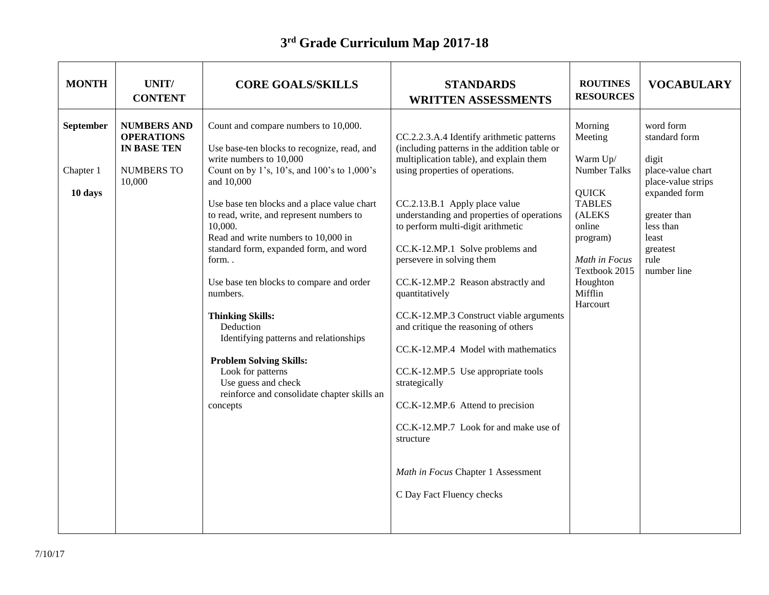## **3 rd Grade Curriculum Map 2017-18**

| <b>MONTH</b>                      | UNIT/<br><b>CONTENT</b>                                                               | <b>CORE GOALS/SKILLS</b>                                                                                                                                                                                                                                                                                                                                                                                                                                                                                                                                                                                                                                      | <b>STANDARDS</b><br><b>WRITTEN ASSESSMENTS</b>                                                                                                                                                                                                                                                                                                                                                                                                                                                                                                                                                                                                                                                                                                                    | <b>ROUTINES</b><br><b>RESOURCES</b>                                                                                                                                                  | <b>VOCABULARY</b>                                                                                                                                                        |
|-----------------------------------|---------------------------------------------------------------------------------------|---------------------------------------------------------------------------------------------------------------------------------------------------------------------------------------------------------------------------------------------------------------------------------------------------------------------------------------------------------------------------------------------------------------------------------------------------------------------------------------------------------------------------------------------------------------------------------------------------------------------------------------------------------------|-------------------------------------------------------------------------------------------------------------------------------------------------------------------------------------------------------------------------------------------------------------------------------------------------------------------------------------------------------------------------------------------------------------------------------------------------------------------------------------------------------------------------------------------------------------------------------------------------------------------------------------------------------------------------------------------------------------------------------------------------------------------|--------------------------------------------------------------------------------------------------------------------------------------------------------------------------------------|--------------------------------------------------------------------------------------------------------------------------------------------------------------------------|
| September<br>Chapter 1<br>10 days | <b>NUMBERS AND</b><br><b>OPERATIONS</b><br><b>IN BASE TEN</b><br>NUMBERS TO<br>10,000 | Count and compare numbers to 10,000.<br>Use base-ten blocks to recognize, read, and<br>write numbers to 10,000<br>Count on by 1's, 10's, and 100's to 1,000's<br>and 10,000<br>Use base ten blocks and a place value chart<br>to read, write, and represent numbers to<br>10,000.<br>Read and write numbers to 10,000 in<br>standard form, expanded form, and word<br>form<br>Use base ten blocks to compare and order<br>numbers.<br><b>Thinking Skills:</b><br>Deduction<br>Identifying patterns and relationships<br><b>Problem Solving Skills:</b><br>Look for patterns<br>Use guess and check<br>reinforce and consolidate chapter skills an<br>concepts | CC.2.2.3.A.4 Identify arithmetic patterns<br>(including patterns in the addition table or<br>multiplication table), and explain them<br>using properties of operations.<br>CC.2.13.B.1 Apply place value<br>understanding and properties of operations<br>to perform multi-digit arithmetic<br>CC.K-12.MP.1 Solve problems and<br>persevere in solving them<br>CC.K-12.MP.2 Reason abstractly and<br>quantitatively<br>CC.K-12.MP.3 Construct viable arguments<br>and critique the reasoning of others<br>CC.K-12.MP.4 Model with mathematics<br>CC.K-12.MP.5 Use appropriate tools<br>strategically<br>CC.K-12.MP.6 Attend to precision<br>CC.K-12.MP.7 Look for and make use of<br>structure<br>Math in Focus Chapter 1 Assessment<br>C Day Fact Fluency checks | Morning<br>Meeting<br>Warm Up/<br>Number Talks<br><b>QUICK</b><br><b>TABLES</b><br>(ALEKS<br>online<br>program)<br>Math in Focus<br>Textbook 2015<br>Houghton<br>Mifflin<br>Harcourt | word form<br>standard form<br>digit<br>place-value chart<br>place-value strips<br>expanded form<br>greater than<br>less than<br>least<br>greatest<br>rule<br>number line |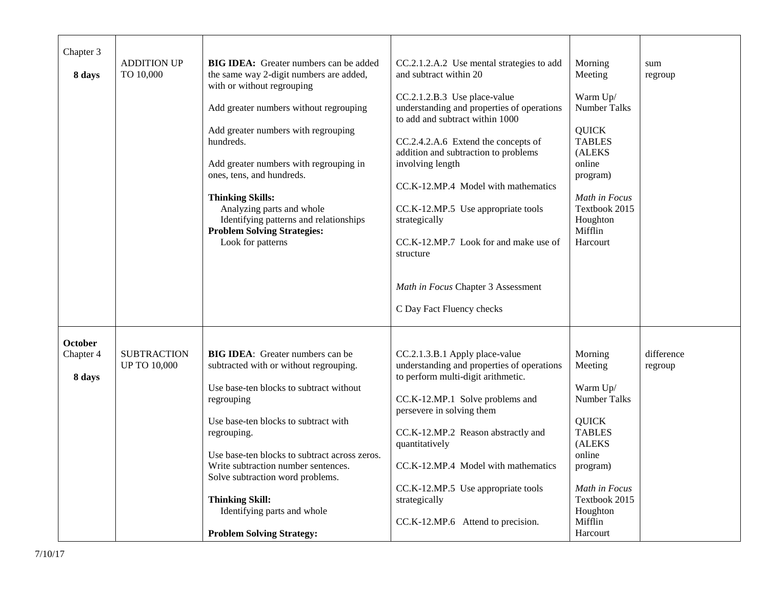| Chapter 3<br>8 days                   | <b>ADDITION UP</b><br>TO 10,000           | <b>BIG IDEA:</b> Greater numbers can be added<br>the same way 2-digit numbers are added,<br>with or without regrouping<br>Add greater numbers without regrouping<br>Add greater numbers with regrouping<br>hundreds.<br>Add greater numbers with regrouping in<br>ones, tens, and hundreds.<br><b>Thinking Skills:</b><br>Analyzing parts and whole<br>Identifying patterns and relationships<br><b>Problem Solving Strategies:</b><br>Look for patterns | CC.2.1.2.A.2 Use mental strategies to add<br>and subtract within 20<br>CC.2.1.2.B.3 Use place-value<br>understanding and properties of operations<br>to add and subtract within 1000<br>CC.2.4.2.A.6 Extend the concepts of<br>addition and subtraction to problems<br>involving length<br>CC.K-12.MP.4 Model with mathematics<br>CC.K-12.MP.5 Use appropriate tools<br>strategically<br>CC.K-12.MP.7 Look for and make use of<br>structure<br>Math in Focus Chapter 3 Assessment<br>C Day Fact Fluency checks | Morning<br>Meeting<br>Warm Up/<br><b>Number Talks</b><br><b>QUICK</b><br><b>TABLES</b><br>(ALEKS<br>online<br>program)<br>Math in Focus<br>Textbook 2015<br>Houghton<br>Mifflin<br>Harcourt  | sum<br>regroup        |
|---------------------------------------|-------------------------------------------|----------------------------------------------------------------------------------------------------------------------------------------------------------------------------------------------------------------------------------------------------------------------------------------------------------------------------------------------------------------------------------------------------------------------------------------------------------|----------------------------------------------------------------------------------------------------------------------------------------------------------------------------------------------------------------------------------------------------------------------------------------------------------------------------------------------------------------------------------------------------------------------------------------------------------------------------------------------------------------|----------------------------------------------------------------------------------------------------------------------------------------------------------------------------------------------|-----------------------|
| <b>October</b><br>Chapter 4<br>8 days | <b>SUBTRACTION</b><br><b>UP TO 10,000</b> | <b>BIG IDEA:</b> Greater numbers can be<br>subtracted with or without regrouping.<br>Use base-ten blocks to subtract without<br>regrouping<br>Use base-ten blocks to subtract with<br>regrouping.<br>Use base-ten blocks to subtract across zeros.<br>Write subtraction number sentences.<br>Solve subtraction word problems.<br><b>Thinking Skill:</b><br>Identifying parts and whole<br><b>Problem Solving Strategy:</b>                               | CC.2.1.3.B.1 Apply place-value<br>understanding and properties of operations<br>to perform multi-digit arithmetic.<br>CC.K-12.MP.1 Solve problems and<br>persevere in solving them<br>CC.K-12.MP.2 Reason abstractly and<br>quantitatively<br>CC.K-12.MP.4 Model with mathematics<br>CC.K-12.MP.5 Use appropriate tools<br>strategically<br>CC.K-12.MP.6 Attend to precision.                                                                                                                                  | Morning<br>Meeting<br>Warm Up/<br><b>Number Talks</b><br><b>QUICK</b><br><b>TABLES</b><br>(ALEKS)<br>online<br>program)<br>Math in Focus<br>Textbook 2015<br>Houghton<br>Mifflin<br>Harcourt | difference<br>regroup |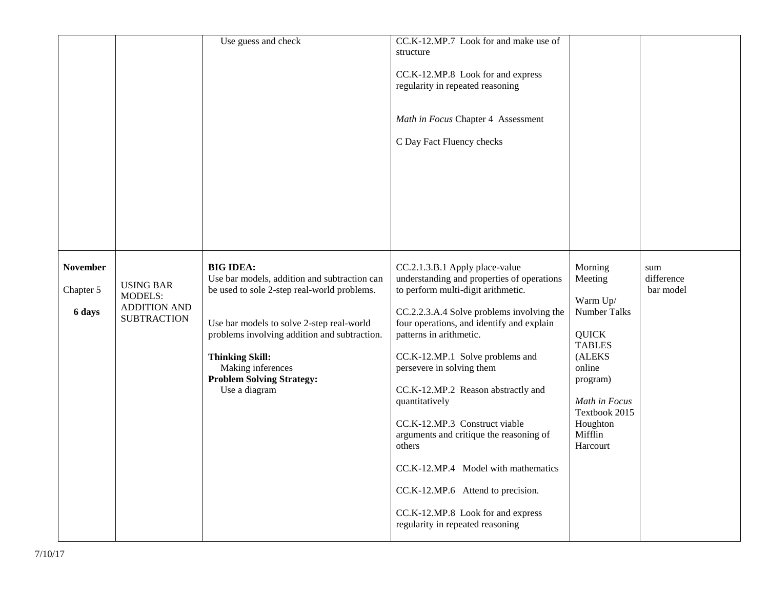|                                        |                                                                                 | Use guess and check                                                                                                                                                                                                                                                                                              | CC.K-12.MP.7 Look for and make use of<br>structure<br>CC.K-12.MP.8 Look for and express<br>regularity in repeated reasoning<br>Math in Focus Chapter 4 Assessment<br>C Day Fact Fluency checks                                                                                                                                                                                                                                                                                                                                                                                                             |                                                                                                                                                                                             |                                |
|----------------------------------------|---------------------------------------------------------------------------------|------------------------------------------------------------------------------------------------------------------------------------------------------------------------------------------------------------------------------------------------------------------------------------------------------------------|------------------------------------------------------------------------------------------------------------------------------------------------------------------------------------------------------------------------------------------------------------------------------------------------------------------------------------------------------------------------------------------------------------------------------------------------------------------------------------------------------------------------------------------------------------------------------------------------------------|---------------------------------------------------------------------------------------------------------------------------------------------------------------------------------------------|--------------------------------|
| <b>November</b><br>Chapter 5<br>6 days | <b>USING BAR</b><br><b>MODELS:</b><br><b>ADDITION AND</b><br><b>SUBTRACTION</b> | <b>BIG IDEA:</b><br>Use bar models, addition and subtraction can<br>be used to sole 2-step real-world problems.<br>Use bar models to solve 2-step real-world<br>problems involving addition and subtraction.<br><b>Thinking Skill:</b><br>Making inferences<br><b>Problem Solving Strategy:</b><br>Use a diagram | CC.2.1.3.B.1 Apply place-value<br>understanding and properties of operations<br>to perform multi-digit arithmetic.<br>CC.2.2.3.A.4 Solve problems involving the<br>four operations, and identify and explain<br>patterns in arithmetic.<br>CC.K-12.MP.1 Solve problems and<br>persevere in solving them<br>CC.K-12.MP.2 Reason abstractly and<br>quantitatively<br>CC.K-12.MP.3 Construct viable<br>arguments and critique the reasoning of<br>others<br>CC.K-12.MP.4 Model with mathematics<br>CC.K-12.MP.6 Attend to precision.<br>CC.K-12.MP.8 Look for and express<br>regularity in repeated reasoning | Morning<br>Meeting<br>Warm Up/<br><b>Number Talks</b><br><b>QUICK</b><br><b>TABLES</b><br>(ALEKS<br>online<br>program)<br>Math in Focus<br>Textbook 2015<br>Houghton<br>Mifflin<br>Harcourt | sum<br>difference<br>bar model |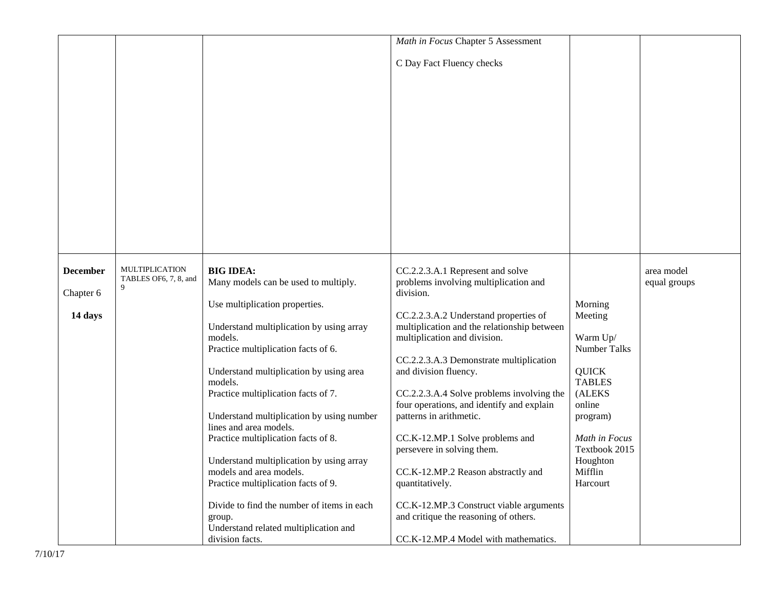|                 |                       |                                            | Math in Focus Chapter 5 Assessment          |                     |              |
|-----------------|-----------------------|--------------------------------------------|---------------------------------------------|---------------------|--------------|
|                 |                       |                                            |                                             |                     |              |
|                 |                       |                                            | C Day Fact Fluency checks                   |                     |              |
|                 |                       |                                            |                                             |                     |              |
|                 |                       |                                            |                                             |                     |              |
|                 |                       |                                            |                                             |                     |              |
|                 |                       |                                            |                                             |                     |              |
|                 |                       |                                            |                                             |                     |              |
|                 |                       |                                            |                                             |                     |              |
|                 |                       |                                            |                                             |                     |              |
|                 |                       |                                            |                                             |                     |              |
|                 |                       |                                            |                                             |                     |              |
|                 |                       |                                            |                                             |                     |              |
|                 |                       |                                            |                                             |                     |              |
|                 |                       |                                            |                                             |                     |              |
|                 |                       |                                            |                                             |                     |              |
|                 |                       |                                            |                                             |                     |              |
|                 |                       |                                            |                                             |                     |              |
|                 |                       |                                            |                                             |                     |              |
|                 |                       |                                            |                                             |                     |              |
| <b>December</b> | <b>MULTIPLICATION</b> | <b>BIG IDEA:</b>                           | CC.2.2.3.A.1 Represent and solve            |                     | area model   |
|                 | TABLES OF6, 7, 8, and | Many models can be used to multiply.       | problems involving multiplication and       |                     | equal groups |
| Chapter 6       | 9                     |                                            | division.                                   |                     |              |
|                 |                       | Use multiplication properties.             |                                             | Morning             |              |
| 14 days         |                       |                                            | CC.2.2.3.A.2 Understand properties of       | Meeting             |              |
|                 |                       | Understand multiplication by using array   | multiplication and the relationship between |                     |              |
|                 |                       | models.                                    | multiplication and division.                | Warm Up/            |              |
|                 |                       | Practice multiplication facts of 6.        |                                             | <b>Number Talks</b> |              |
|                 |                       |                                            | CC.2.2.3.A.3 Demonstrate multiplication     |                     |              |
|                 |                       | Understand multiplication by using area    | and division fluency.                       | <b>QUICK</b>        |              |
|                 |                       | models.                                    |                                             | <b>TABLES</b>       |              |
|                 |                       | Practice multiplication facts of 7.        | CC.2.2.3.A.4 Solve problems involving the   | (ALEKS              |              |
|                 |                       |                                            | four operations, and identify and explain   | online              |              |
|                 |                       | Understand multiplication by using number  | patterns in arithmetic.                     | program)            |              |
|                 |                       | lines and area models.                     |                                             |                     |              |
|                 |                       | Practice multiplication facts of 8.        | CC.K-12.MP.1 Solve problems and             | Math in Focus       |              |
|                 |                       |                                            | persevere in solving them.                  | Textbook 2015       |              |
|                 |                       | Understand multiplication by using array   |                                             | Houghton            |              |
|                 |                       | models and area models.                    | CC.K-12.MP.2 Reason abstractly and          | Mifflin             |              |
|                 |                       | Practice multiplication facts of 9.        | quantitatively.                             | Harcourt            |              |
|                 |                       |                                            |                                             |                     |              |
|                 |                       | Divide to find the number of items in each | CC.K-12.MP.3 Construct viable arguments     |                     |              |
|                 |                       | group.                                     | and critique the reasoning of others.       |                     |              |
|                 |                       | Understand related multiplication and      |                                             |                     |              |
|                 |                       | division facts.                            | CC.K-12.MP.4 Model with mathematics.        |                     |              |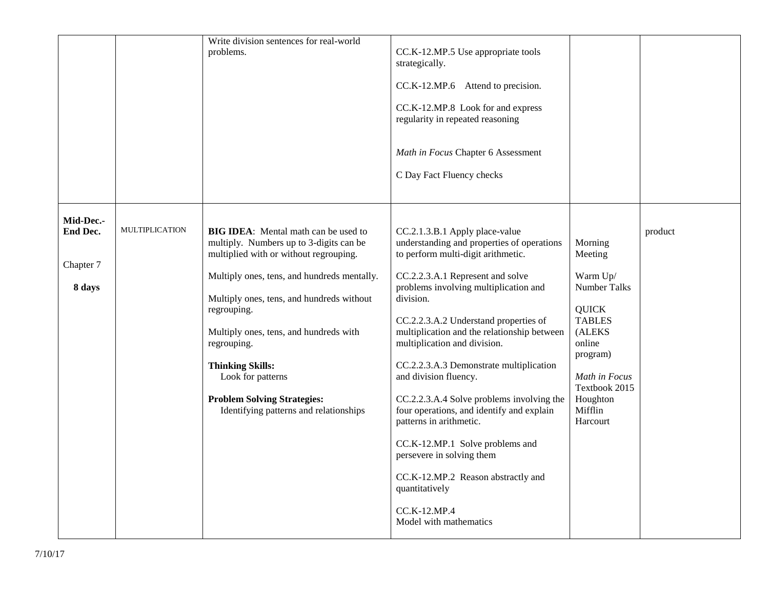|                     |                       | Write division sentences for real-world                                                                                          |                                                                                                                    |                                 |         |
|---------------------|-----------------------|----------------------------------------------------------------------------------------------------------------------------------|--------------------------------------------------------------------------------------------------------------------|---------------------------------|---------|
|                     |                       | problems.                                                                                                                        | CC.K-12.MP.5 Use appropriate tools<br>strategically.                                                               |                                 |         |
|                     |                       |                                                                                                                                  | CC.K-12.MP.6 Attend to precision.                                                                                  |                                 |         |
|                     |                       |                                                                                                                                  | CC.K-12.MP.8 Look for and express<br>regularity in repeated reasoning                                              |                                 |         |
|                     |                       |                                                                                                                                  | Math in Focus Chapter 6 Assessment                                                                                 |                                 |         |
|                     |                       |                                                                                                                                  | C Day Fact Fluency checks                                                                                          |                                 |         |
| Mid-Dec.-           |                       |                                                                                                                                  |                                                                                                                    |                                 |         |
| <b>End Dec.</b>     | <b>MULTIPLICATION</b> | <b>BIG IDEA:</b> Mental math can be used to<br>multiply. Numbers up to 3-digits can be<br>multiplied with or without regrouping. | CC.2.1.3.B.1 Apply place-value<br>understanding and properties of operations<br>to perform multi-digit arithmetic. | Morning<br>Meeting              | product |
| Chapter 7<br>8 days |                       | Multiply ones, tens, and hundreds mentally.<br>Multiply ones, tens, and hundreds without                                         | CC.2.2.3.A.1 Represent and solve<br>problems involving multiplication and<br>division.                             | Warm Up/<br>Number Talks        |         |
|                     |                       | regrouping.                                                                                                                      | CC.2.2.3.A.2 Understand properties of                                                                              | <b>QUICK</b><br><b>TABLES</b>   |         |
|                     |                       | Multiply ones, tens, and hundreds with<br>regrouping.                                                                            | multiplication and the relationship between<br>multiplication and division.                                        | (ALEKS<br>online<br>program)    |         |
|                     |                       | <b>Thinking Skills:</b><br>Look for patterns                                                                                     | CC.2.2.3.A.3 Demonstrate multiplication<br>and division fluency.                                                   | Math in Focus<br>Textbook 2015  |         |
|                     |                       | <b>Problem Solving Strategies:</b><br>Identifying patterns and relationships                                                     | CC.2.2.3.A.4 Solve problems involving the<br>four operations, and identify and explain<br>patterns in arithmetic.  | Houghton<br>Mifflin<br>Harcourt |         |
|                     |                       |                                                                                                                                  | CC.K-12.MP.1 Solve problems and<br>persevere in solving them                                                       |                                 |         |
|                     |                       |                                                                                                                                  | CC.K-12.MP.2 Reason abstractly and<br>quantitatively                                                               |                                 |         |
|                     |                       |                                                                                                                                  | CC.K-12.MP.4<br>Model with mathematics                                                                             |                                 |         |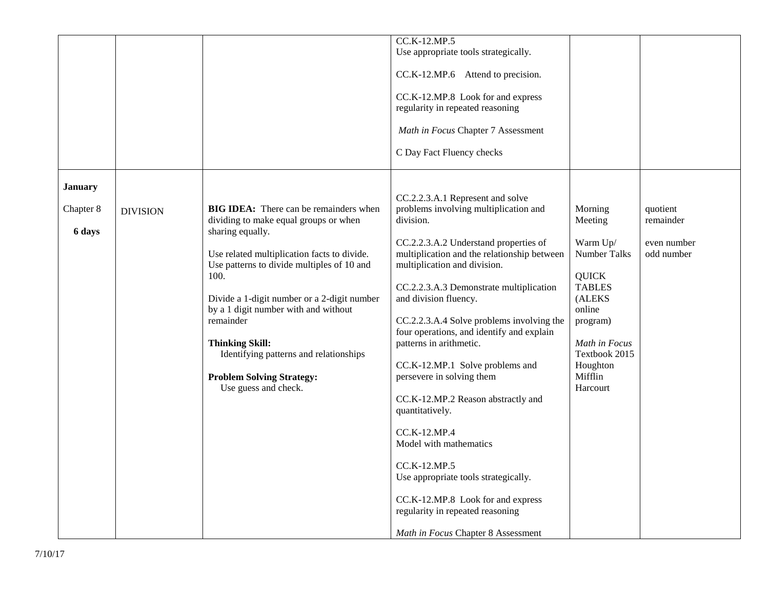|                |                 |                                               | CC.K-12.MP.5                                |               |             |
|----------------|-----------------|-----------------------------------------------|---------------------------------------------|---------------|-------------|
|                |                 |                                               | Use appropriate tools strategically.        |               |             |
|                |                 |                                               |                                             |               |             |
|                |                 |                                               | CC.K-12.MP.6 Attend to precision.           |               |             |
|                |                 |                                               | CC.K-12.MP.8 Look for and express           |               |             |
|                |                 |                                               | regularity in repeated reasoning            |               |             |
|                |                 |                                               |                                             |               |             |
|                |                 |                                               | Math in Focus Chapter 7 Assessment          |               |             |
|                |                 |                                               | C Day Fact Fluency checks                   |               |             |
|                |                 |                                               |                                             |               |             |
| <b>January</b> |                 |                                               |                                             |               |             |
|                |                 |                                               | CC.2.2.3.A.1 Represent and solve            |               |             |
| Chapter 8      | <b>DIVISION</b> | <b>BIG IDEA:</b> There can be remainders when | problems involving multiplication and       | Morning       | quotient    |
|                |                 | dividing to make equal groups or when         | division.                                   | Meeting       | remainder   |
| 6 days         |                 | sharing equally.                              |                                             |               |             |
|                |                 |                                               | CC.2.2.3.A.2 Understand properties of       | Warm Up/      | even number |
|                |                 | Use related multiplication facts to divide.   | multiplication and the relationship between | Number Talks  | odd number  |
|                |                 | Use patterns to divide multiples of 10 and    | multiplication and division.                |               |             |
|                |                 | 100.                                          |                                             | <b>QUICK</b>  |             |
|                |                 |                                               | CC.2.2.3.A.3 Demonstrate multiplication     | <b>TABLES</b> |             |
|                |                 | Divide a 1-digit number or a 2-digit number   | and division fluency.                       | (ALEKS        |             |
|                |                 | by a 1 digit number with and without          |                                             | online        |             |
|                |                 | remainder                                     | CC.2.2.3.A.4 Solve problems involving the   | program)      |             |
|                |                 |                                               | four operations, and identify and explain   |               |             |
|                |                 | <b>Thinking Skill:</b>                        | patterns in arithmetic.                     | Math in Focus |             |
|                |                 | Identifying patterns and relationships        |                                             | Textbook 2015 |             |
|                |                 |                                               | CC.K-12.MP.1 Solve problems and             | Houghton      |             |
|                |                 | <b>Problem Solving Strategy:</b>              | persevere in solving them                   | Mifflin       |             |
|                |                 | Use guess and check.                          |                                             | Harcourt      |             |
|                |                 |                                               | CC.K-12.MP.2 Reason abstractly and          |               |             |
|                |                 |                                               | quantitatively.                             |               |             |
|                |                 |                                               | CC.K-12.MP.4                                |               |             |
|                |                 |                                               | Model with mathematics                      |               |             |
|                |                 |                                               | CC.K-12.MP.5                                |               |             |
|                |                 |                                               | Use appropriate tools strategically.        |               |             |
|                |                 |                                               |                                             |               |             |
|                |                 |                                               | CC.K-12.MP.8 Look for and express           |               |             |
|                |                 |                                               | regularity in repeated reasoning            |               |             |
|                |                 |                                               |                                             |               |             |
|                |                 |                                               | Math in Focus Chapter 8 Assessment          |               |             |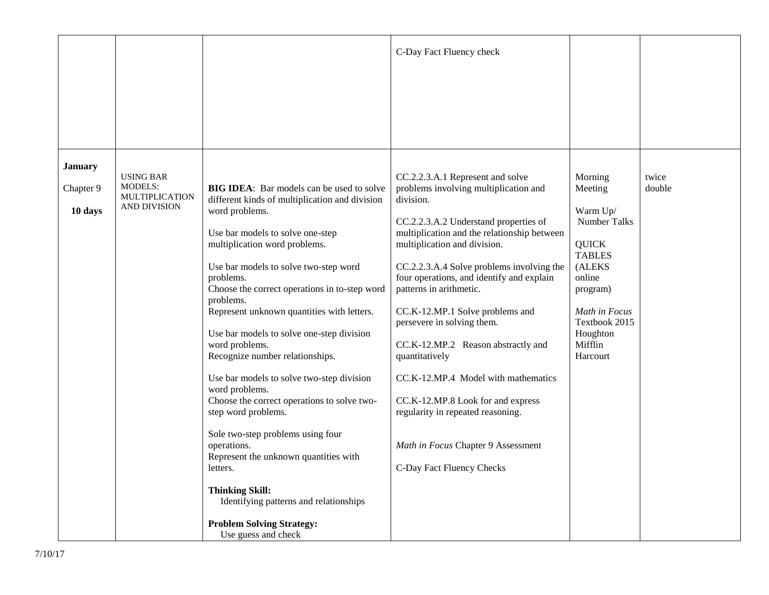|                |                                                      |                                                                                         | C-Day Fact Fluency check                                                               |                                            |                 |
|----------------|------------------------------------------------------|-----------------------------------------------------------------------------------------|----------------------------------------------------------------------------------------|--------------------------------------------|-----------------|
|                |                                                      |                                                                                         |                                                                                        |                                            |                 |
|                |                                                      |                                                                                         |                                                                                        |                                            |                 |
|                |                                                      |                                                                                         |                                                                                        |                                            |                 |
| <b>January</b> |                                                      |                                                                                         |                                                                                        |                                            |                 |
| Chapter 9      | <b>USING BAR</b><br><b>MODELS:</b><br>MULTIPLICATION | <b>BIG IDEA:</b> Bar models can be used to solve                                        | CC.2.2.3.A.1 Represent and solve<br>problems involving multiplication and<br>division. | Morning<br>Meeting                         | twice<br>double |
| 10 days        | AND DIVISION                                         | different kinds of multiplication and division<br>word problems.                        | CC.2.2.3.A.2 Understand properties of                                                  | Warm Up/<br>Number Talks                   |                 |
|                |                                                      | Use bar models to solve one-step<br>multiplication word problems.                       | multiplication and the relationship between<br>multiplication and division.            | <b>QUICK</b>                               |                 |
|                |                                                      | Use bar models to solve two-step word<br>problems.                                      | CC.2.2.3.A.4 Solve problems involving the<br>four operations, and identify and explain | <b>TABLES</b><br>(ALEKS<br>online          |                 |
|                |                                                      | Choose the correct operations in to-step word<br>problems.                              | patterns in arithmetic.                                                                | program)                                   |                 |
|                |                                                      | Represent unknown quantities with letters.<br>Use bar models to solve one-step division | CC.K-12.MP.1 Solve problems and<br>persevere in solving them.                          | Math in Focus<br>Textbook 2015<br>Houghton |                 |
|                |                                                      | word problems.<br>Recognize number relationships.                                       | CC.K-12.MP.2 Reason abstractly and<br>quantitatively                                   | Mifflin<br>Harcourt                        |                 |
|                |                                                      | Use bar models to solve two-step division                                               | CC.K-12.MP.4 Model with mathematics                                                    |                                            |                 |
|                |                                                      | word problems.<br>Choose the correct operations to solve two-<br>step word problems.    | CC.K-12.MP.8 Look for and express<br>regularity in repeated reasoning.                 |                                            |                 |
|                |                                                      | Sole two-step problems using four                                                       |                                                                                        |                                            |                 |
|                |                                                      | operations.<br>Represent the unknown quantities with<br>letters.                        | Math in Focus Chapter 9 Assessment<br>C-Day Fact Fluency Checks                        |                                            |                 |
|                |                                                      | <b>Thinking Skill:</b>                                                                  |                                                                                        |                                            |                 |
|                |                                                      | Identifying patterns and relationships                                                  |                                                                                        |                                            |                 |
|                |                                                      | <b>Problem Solving Strategy:</b><br>Use guess and check                                 |                                                                                        |                                            |                 |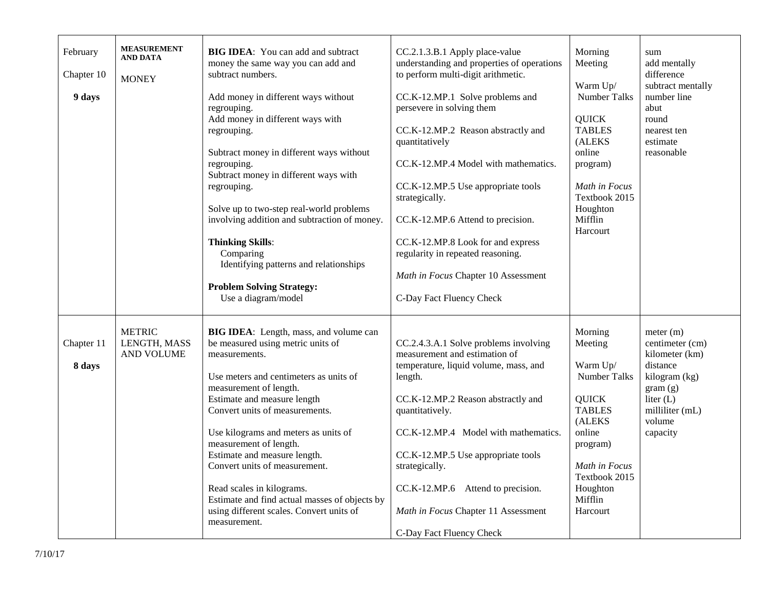| February<br>Chapter 10<br>9 days | <b>MEASUREMENT</b><br><b>AND DATA</b><br><b>MONEY</b> | <b>BIG IDEA:</b> You can add and subtract<br>money the same way you can add and<br>subtract numbers.<br>Add money in different ways without<br>regrouping.<br>Add money in different ways with<br>regrouping.<br>Subtract money in different ways without<br>regrouping.<br>Subtract money in different ways with<br>regrouping.<br>Solve up to two-step real-world problems<br>involving addition and subtraction of money.<br><b>Thinking Skills:</b><br>Comparing<br>Identifying patterns and relationships<br><b>Problem Solving Strategy:</b><br>Use a diagram/model | CC.2.1.3.B.1 Apply place-value<br>understanding and properties of operations<br>to perform multi-digit arithmetic.<br>CC.K-12.MP.1 Solve problems and<br>persevere in solving them<br>CC.K-12.MP.2 Reason abstractly and<br>quantitatively<br>CC.K-12.MP.4 Model with mathematics.<br>CC.K-12.MP.5 Use appropriate tools<br>strategically.<br>CC.K-12.MP.6 Attend to precision.<br>CC.K-12.MP.8 Look for and express<br>regularity in repeated reasoning.<br>Math in Focus Chapter 10 Assessment<br>C-Day Fact Fluency Check | Morning<br>Meeting<br>Warm Up/<br><b>Number Talks</b><br><b>QUICK</b><br><b>TABLES</b><br>(ALEKS<br>online<br>program)<br>Math in Focus<br>Textbook 2015<br>Houghton<br>Mifflin<br>Harcourt | sum<br>add mentally<br>difference<br>subtract mentally<br>number line<br>abut<br>round<br>nearest ten<br>estimate<br>reasonable                |
|----------------------------------|-------------------------------------------------------|---------------------------------------------------------------------------------------------------------------------------------------------------------------------------------------------------------------------------------------------------------------------------------------------------------------------------------------------------------------------------------------------------------------------------------------------------------------------------------------------------------------------------------------------------------------------------|------------------------------------------------------------------------------------------------------------------------------------------------------------------------------------------------------------------------------------------------------------------------------------------------------------------------------------------------------------------------------------------------------------------------------------------------------------------------------------------------------------------------------|---------------------------------------------------------------------------------------------------------------------------------------------------------------------------------------------|------------------------------------------------------------------------------------------------------------------------------------------------|
| Chapter 11<br>8 days             | <b>METRIC</b><br>LENGTH, MASS<br>AND VOLUME           | BIG IDEA: Length, mass, and volume can<br>be measured using metric units of<br>measurements.<br>Use meters and centimeters as units of<br>measurement of length.<br>Estimate and measure length<br>Convert units of measurements.<br>Use kilograms and meters as units of<br>measurement of length.<br>Estimate and measure length.<br>Convert units of measurement.<br>Read scales in kilograms.<br>Estimate and find actual masses of objects by<br>using different scales. Convert units of<br>measurement.                                                            | CC.2.4.3.A.1 Solve problems involving<br>measurement and estimation of<br>temperature, liquid volume, mass, and<br>length.<br>CC.K-12.MP.2 Reason abstractly and<br>quantitatively.<br>CC.K-12.MP.4 Model with mathematics.<br>CC.K-12.MP.5 Use appropriate tools<br>strategically.<br>CC.K-12.MP.6 Attend to precision.<br>Math in Focus Chapter 11 Assessment<br>C-Day Fact Fluency Check                                                                                                                                  | Morning<br>Meeting<br>Warm Up/<br>Number Talks<br><b>QUICK</b><br><b>TABLES</b><br>(ALEKS<br>online<br>program)<br>Math in Focus<br>Textbook 2015<br>Houghton<br>Mifflin<br>Harcourt        | meter (m)<br>centimeter (cm)<br>kilometer (km)<br>distance<br>kilogram (kg)<br>gram(g)<br>liter $(L)$<br>milliliter (mL)<br>volume<br>capacity |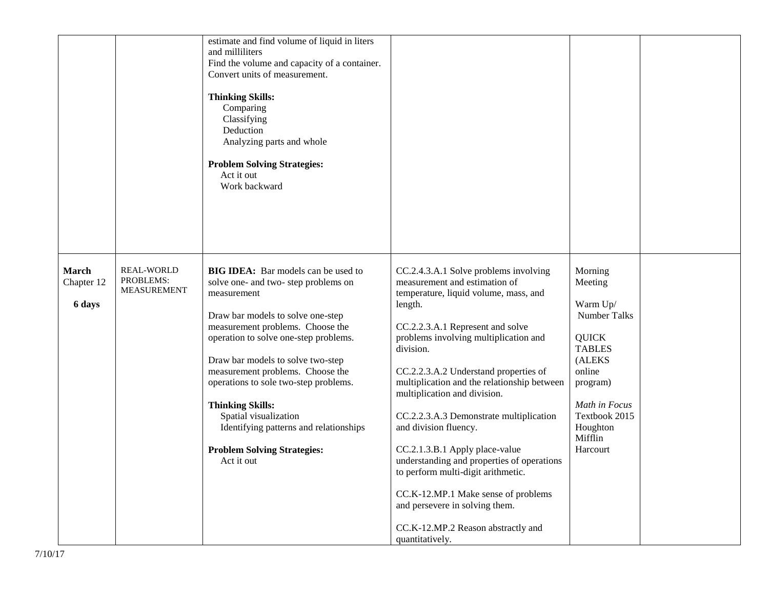|                                                                                       | estimate and find volume of liquid in liters<br>and milliliters<br>Find the volume and capacity of a container.<br>Convert units of measurement.<br><b>Thinking Skills:</b><br>Comparing<br>Classifying<br>Deduction<br>Analyzing parts and whole<br><b>Problem Solving Strategies:</b><br>Act it out<br>Work backward                                                                                                                                                                  |                                                                                                                                                                                                                                                                                                                                                                                                                                                                                                                                                                                                                                                       |                                                                                                                                                                                             |  |
|---------------------------------------------------------------------------------------|-----------------------------------------------------------------------------------------------------------------------------------------------------------------------------------------------------------------------------------------------------------------------------------------------------------------------------------------------------------------------------------------------------------------------------------------------------------------------------------------|-------------------------------------------------------------------------------------------------------------------------------------------------------------------------------------------------------------------------------------------------------------------------------------------------------------------------------------------------------------------------------------------------------------------------------------------------------------------------------------------------------------------------------------------------------------------------------------------------------------------------------------------------------|---------------------------------------------------------------------------------------------------------------------------------------------------------------------------------------------|--|
| <b>REAL-WORLD</b><br>March<br>PROBLEMS:<br>Chapter 12<br><b>MEASUREMENT</b><br>6 days | <b>BIG IDEA:</b> Bar models can be used to<br>solve one- and two- step problems on<br>measurement<br>Draw bar models to solve one-step<br>measurement problems. Choose the<br>operation to solve one-step problems.<br>Draw bar models to solve two-step<br>measurement problems. Choose the<br>operations to sole two-step problems.<br><b>Thinking Skills:</b><br>Spatial visualization<br>Identifying patterns and relationships<br><b>Problem Solving Strategies:</b><br>Act it out | CC.2.4.3.A.1 Solve problems involving<br>measurement and estimation of<br>temperature, liquid volume, mass, and<br>length.<br>CC.2.2.3.A.1 Represent and solve<br>problems involving multiplication and<br>division.<br>CC.2.2.3.A.2 Understand properties of<br>multiplication and the relationship between<br>multiplication and division.<br>CC.2.2.3.A.3 Demonstrate multiplication<br>and division fluency.<br>CC.2.1.3.B.1 Apply place-value<br>understanding and properties of operations<br>to perform multi-digit arithmetic.<br>CC.K-12.MP.1 Make sense of problems<br>and persevere in solving them.<br>CC.K-12.MP.2 Reason abstractly and | Morning<br>Meeting<br>Warm Up/<br><b>Number Talks</b><br><b>QUICK</b><br><b>TABLES</b><br>(ALEKS<br>online<br>program)<br>Math in Focus<br>Textbook 2015<br>Houghton<br>Mifflin<br>Harcourt |  |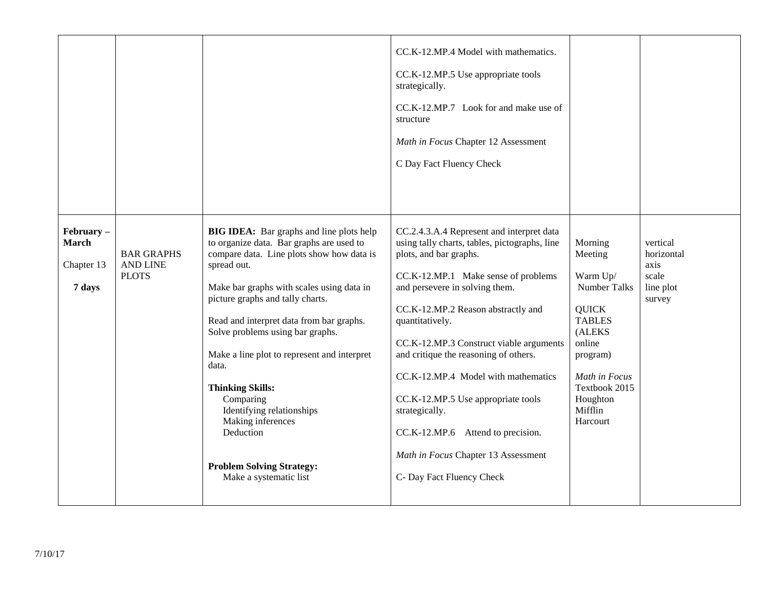|                                                      |                                                      |                                                                                                                                                                                                                                                                                                                                                                                                                                                                                                                                                       | CC.K-12.MP.4 Model with mathematics.<br>CC.K-12.MP.5 Use appropriate tools<br>strategically.<br>CC.K-12.MP.7 Look for and make use of<br>structure<br>Math in Focus Chapter 12 Assessment<br>C Day Fact Fluency Check                                                                                                                                                                                                                                                                                                                              |                                                                                                                                                                                             |                                                                |
|------------------------------------------------------|------------------------------------------------------|-------------------------------------------------------------------------------------------------------------------------------------------------------------------------------------------------------------------------------------------------------------------------------------------------------------------------------------------------------------------------------------------------------------------------------------------------------------------------------------------------------------------------------------------------------|----------------------------------------------------------------------------------------------------------------------------------------------------------------------------------------------------------------------------------------------------------------------------------------------------------------------------------------------------------------------------------------------------------------------------------------------------------------------------------------------------------------------------------------------------|---------------------------------------------------------------------------------------------------------------------------------------------------------------------------------------------|----------------------------------------------------------------|
| $February -$<br><b>March</b><br>Chapter 13<br>7 days | <b>BAR GRAPHS</b><br><b>AND LINE</b><br><b>PLOTS</b> | <b>BIG IDEA:</b> Bar graphs and line plots help<br>to organize data. Bar graphs are used to<br>compare data. Line plots show how data is<br>spread out.<br>Make bar graphs with scales using data in<br>picture graphs and tally charts.<br>Read and interpret data from bar graphs.<br>Solve problems using bar graphs.<br>Make a line plot to represent and interpret<br>data.<br><b>Thinking Skills:</b><br>Comparing<br>Identifying relationships<br>Making inferences<br>Deduction<br><b>Problem Solving Strategy:</b><br>Make a systematic list | CC.2.4.3.A.4 Represent and interpret data<br>using tally charts, tables, pictographs, line<br>plots, and bar graphs.<br>CC.K-12.MP.1 Make sense of problems<br>and persevere in solving them.<br>CC.K-12.MP.2 Reason abstractly and<br>quantitatively.<br>CC.K-12.MP.3 Construct viable arguments<br>and critique the reasoning of others.<br>CC.K-12.MP.4 Model with mathematics<br>CC.K-12.MP.5 Use appropriate tools<br>strategically.<br>CC.K-12.MP.6 Attend to precision.<br>Math in Focus Chapter 13 Assessment<br>C- Day Fact Fluency Check | Morning<br>Meeting<br>Warm Up/<br><b>Number Talks</b><br><b>QUICK</b><br><b>TABLES</b><br>(ALEKS<br>online<br>program)<br>Math in Focus<br>Textbook 2015<br>Houghton<br>Mifflin<br>Harcourt | vertical<br>horizontal<br>axis<br>scale<br>line plot<br>survey |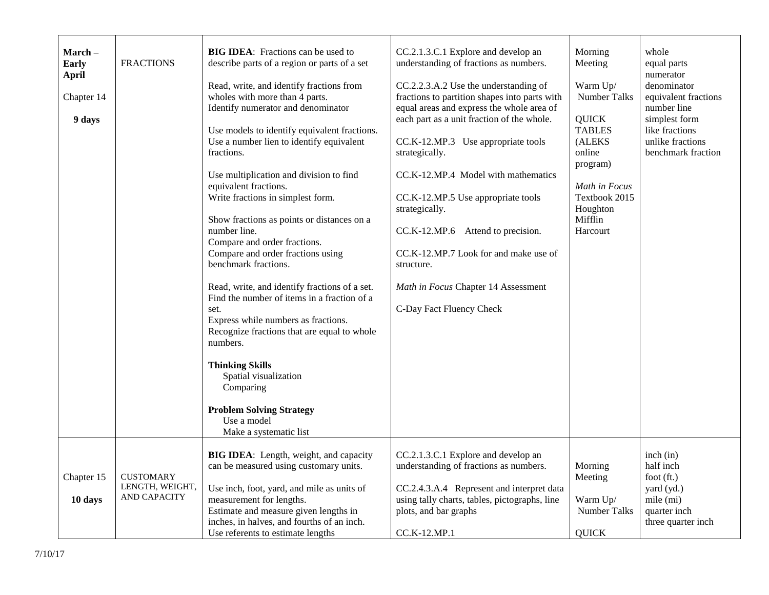| March –<br><b>Early</b><br><b>April</b><br>Chapter 14<br>9 days | <b>FRACTIONS</b>                                    | <b>BIG IDEA:</b> Fractions can be used to<br>describe parts of a region or parts of a set<br>Read, write, and identify fractions from<br>wholes with more than 4 parts.<br>Identify numerator and denominator<br>Use models to identify equivalent fractions.<br>Use a number lien to identify equivalent<br>fractions.<br>Use multiplication and division to find<br>equivalent fractions.<br>Write fractions in simplest form.<br>Show fractions as points or distances on a<br>number line.<br>Compare and order fractions.<br>Compare and order fractions using<br>benchmark fractions.<br>Read, write, and identify fractions of a set.<br>Find the number of items in a fraction of a<br>set.<br>Express while numbers as fractions.<br>Recognize fractions that are equal to whole<br>numbers.<br><b>Thinking Skills</b><br>Spatial visualization<br>Comparing<br><b>Problem Solving Strategy</b><br>Use a model<br>Make a systematic list | CC.2.1.3.C.1 Explore and develop an<br>understanding of fractions as numbers.<br>CC.2.2.3.A.2 Use the understanding of<br>fractions to partition shapes into parts with<br>equal areas and express the whole area of<br>each part as a unit fraction of the whole.<br>CC.K-12.MP.3 Use appropriate tools<br>strategically.<br>CC.K-12.MP.4 Model with mathematics<br>CC.K-12.MP.5 Use appropriate tools<br>strategically.<br>CC.K-12.MP.6 Attend to precision.<br>CC.K-12.MP.7 Look for and make use of<br>structure.<br>Math in Focus Chapter 14 Assessment<br>C-Day Fact Fluency Check | Morning<br>Meeting<br>Warm Up/<br><b>Number Talks</b><br><b>QUICK</b><br><b>TABLES</b><br>(ALEKS<br>online<br>program)<br>Math in Focus<br>Textbook 2015<br>Houghton<br>Mifflin<br>Harcourt | whole<br>equal parts<br>numerator<br>denominator<br>equivalent fractions<br>number line<br>simplest form<br>like fractions<br>unlike fractions<br>benchmark fraction |
|-----------------------------------------------------------------|-----------------------------------------------------|---------------------------------------------------------------------------------------------------------------------------------------------------------------------------------------------------------------------------------------------------------------------------------------------------------------------------------------------------------------------------------------------------------------------------------------------------------------------------------------------------------------------------------------------------------------------------------------------------------------------------------------------------------------------------------------------------------------------------------------------------------------------------------------------------------------------------------------------------------------------------------------------------------------------------------------------------|------------------------------------------------------------------------------------------------------------------------------------------------------------------------------------------------------------------------------------------------------------------------------------------------------------------------------------------------------------------------------------------------------------------------------------------------------------------------------------------------------------------------------------------------------------------------------------------|---------------------------------------------------------------------------------------------------------------------------------------------------------------------------------------------|----------------------------------------------------------------------------------------------------------------------------------------------------------------------|
| Chapter 15<br>10 days                                           | <b>CUSTOMARY</b><br>LENGTH, WEIGHT,<br>AND CAPACITY | BIG IDEA: Length, weight, and capacity<br>can be measured using customary units.<br>Use inch, foot, yard, and mile as units of<br>measurement for lengths.<br>Estimate and measure given lengths in<br>inches, in halves, and fourths of an inch.<br>Use referents to estimate lengths                                                                                                                                                                                                                                                                                                                                                                                                                                                                                                                                                                                                                                                            | CC.2.1.3.C.1 Explore and develop an<br>understanding of fractions as numbers.<br>CC.2.4.3.A.4 Represent and interpret data<br>using tally charts, tables, pictographs, line<br>plots, and bar graphs<br>CC.K-12.MP.1                                                                                                                                                                                                                                                                                                                                                                     | Morning<br>Meeting<br>Warm Up/<br><b>Number Talks</b><br><b>QUICK</b>                                                                                                                       | inch (in)<br>half inch<br>foot $(ft.)$<br>yard (yd.)<br>mile (mi)<br>quarter inch<br>three quarter inch                                                              |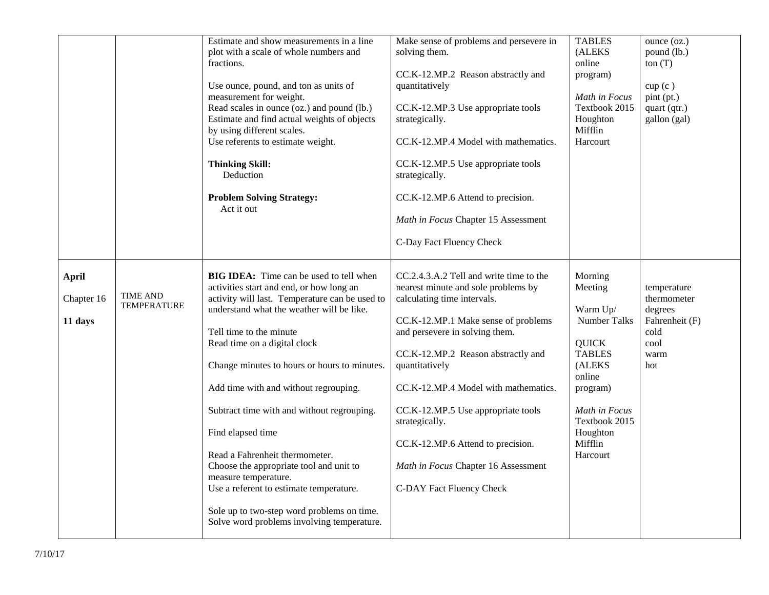|                                       |                                       | Estimate and show measurements in a line<br>plot with a scale of whole numbers and<br>fractions.<br>Use ounce, pound, and ton as units of<br>measurement for weight.<br>Read scales in ounce (oz.) and pound (lb.)<br>Estimate and find actual weights of objects<br>by using different scales.<br>Use referents to estimate weight.<br><b>Thinking Skill:</b><br>Deduction<br><b>Problem Solving Strategy:</b><br>Act it out                                                                                                                                                                                                                                | Make sense of problems and persevere in<br>solving them.<br>CC.K-12.MP.2 Reason abstractly and<br>quantitatively<br>CC.K-12.MP.3 Use appropriate tools<br>strategically.<br>CC.K-12.MP.4 Model with mathematics.<br>CC.K-12.MP.5 Use appropriate tools<br>strategically.<br>CC.K-12.MP.6 Attend to precision.<br>Math in Focus Chapter 15 Assessment<br>C-Day Fact Fluency Check                                                                       | <b>TABLES</b><br>(ALEKS<br>online<br>program)<br>Math in Focus<br>Textbook 2015<br>Houghton<br>Mifflin<br>Harcourt                                                                   | ounce (oz.)<br>pound (lb.)<br>ton(T)<br>cup(c)<br>pint(pt.)<br>quart (qtr.)<br>gallon (gal) |
|---------------------------------------|---------------------------------------|--------------------------------------------------------------------------------------------------------------------------------------------------------------------------------------------------------------------------------------------------------------------------------------------------------------------------------------------------------------------------------------------------------------------------------------------------------------------------------------------------------------------------------------------------------------------------------------------------------------------------------------------------------------|--------------------------------------------------------------------------------------------------------------------------------------------------------------------------------------------------------------------------------------------------------------------------------------------------------------------------------------------------------------------------------------------------------------------------------------------------------|--------------------------------------------------------------------------------------------------------------------------------------------------------------------------------------|---------------------------------------------------------------------------------------------|
| <b>April</b><br>Chapter 16<br>11 days | <b>TIME AND</b><br><b>TEMPERATURE</b> | <b>BIG IDEA:</b> Time can be used to tell when<br>activities start and end, or how long an<br>activity will last. Temperature can be used to<br>understand what the weather will be like.<br>Tell time to the minute<br>Read time on a digital clock<br>Change minutes to hours or hours to minutes.<br>Add time with and without regrouping.<br>Subtract time with and without regrouping.<br>Find elapsed time<br>Read a Fahrenheit thermometer.<br>Choose the appropriate tool and unit to<br>measure temperature.<br>Use a referent to estimate temperature.<br>Sole up to two-step word problems on time.<br>Solve word problems involving temperature. | CC.2.4.3.A.2 Tell and write time to the<br>nearest minute and sole problems by<br>calculating time intervals.<br>CC.K-12.MP.1 Make sense of problems<br>and persevere in solving them.<br>CC.K-12.MP.2 Reason abstractly and<br>quantitatively<br>CC.K-12.MP.4 Model with mathematics.<br>CC.K-12.MP.5 Use appropriate tools<br>strategically.<br>CC.K-12.MP.6 Attend to precision.<br>Math in Focus Chapter 16 Assessment<br>C-DAY Fact Fluency Check | Morning<br>Meeting<br>Warm Up/<br>Number Talks<br><b>QUICK</b><br><b>TABLES</b><br>(ALEKS<br>online<br>program)<br>Math in Focus<br>Textbook 2015<br>Houghton<br>Mifflin<br>Harcourt | temperature<br>thermometer<br>degrees<br>Fahrenheit (F)<br>cold<br>cool<br>warm<br>hot      |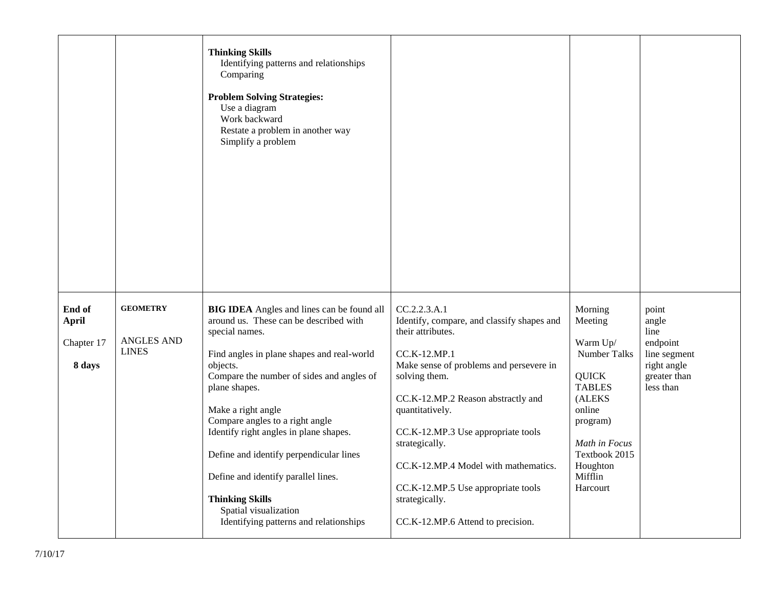|                                      |                               | <b>Thinking Skills</b><br>Identifying patterns and relationships<br>Comparing<br><b>Problem Solving Strategies:</b><br>Use a diagram<br>Work backward<br>Restate a problem in another way<br>Simplify a problem                                                                                                                                                                                        |                                                                                                                                                                                                                                                                                                                                |                                                                                                                                                           |                                                          |
|--------------------------------------|-------------------------------|--------------------------------------------------------------------------------------------------------------------------------------------------------------------------------------------------------------------------------------------------------------------------------------------------------------------------------------------------------------------------------------------------------|--------------------------------------------------------------------------------------------------------------------------------------------------------------------------------------------------------------------------------------------------------------------------------------------------------------------------------|-----------------------------------------------------------------------------------------------------------------------------------------------------------|----------------------------------------------------------|
| End of<br><b>April</b><br>Chapter 17 | <b>GEOMETRY</b><br>ANGLES AND | <b>BIG IDEA</b> Angles and lines can be found all<br>around us. These can be described with<br>special names.                                                                                                                                                                                                                                                                                          | CC.2.2.3.A.1<br>Identify, compare, and classify shapes and<br>their attributes.                                                                                                                                                                                                                                                | Morning<br>Meeting<br>Warm Up/                                                                                                                            | point<br>angle<br>line<br>endpoint                       |
| 8 days                               | <b>LINES</b>                  | Find angles in plane shapes and real-world<br>objects.<br>Compare the number of sides and angles of<br>plane shapes.<br>Make a right angle<br>Compare angles to a right angle<br>Identify right angles in plane shapes.<br>Define and identify perpendicular lines<br>Define and identify parallel lines.<br><b>Thinking Skills</b><br>Spatial visualization<br>Identifying patterns and relationships | CC.K-12.MP.1<br>Make sense of problems and persevere in<br>solving them.<br>CC.K-12.MP.2 Reason abstractly and<br>quantitatively.<br>CC.K-12.MP.3 Use appropriate tools<br>strategically.<br>CC.K-12.MP.4 Model with mathematics.<br>CC.K-12.MP.5 Use appropriate tools<br>strategically.<br>CC.K-12.MP.6 Attend to precision. | <b>Number Talks</b><br><b>QUICK</b><br><b>TABLES</b><br>(ALEKS<br>online<br>program)<br>Math in Focus<br>Textbook 2015<br>Houghton<br>Mifflin<br>Harcourt | line segment<br>right angle<br>greater than<br>less than |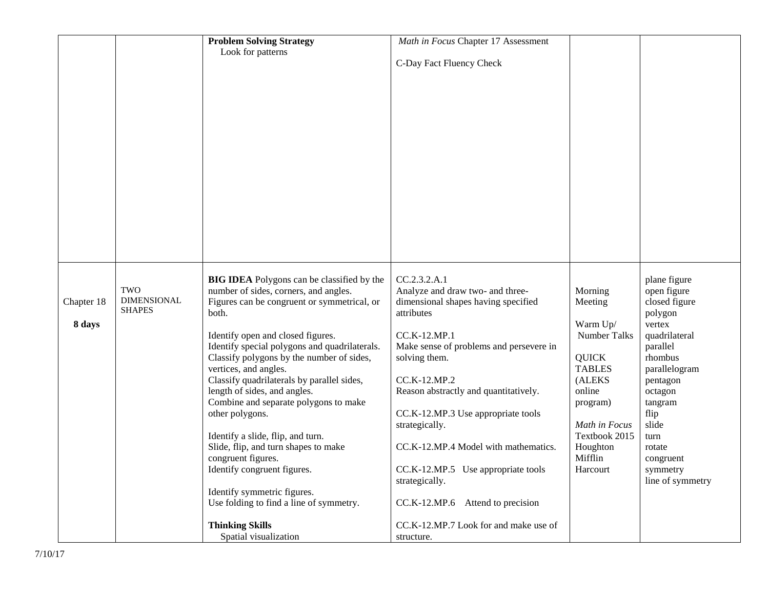|            |                           | <b>Problem Solving Strategy</b>                                       | Math in Focus Chapter 17 Assessment     |                  |                              |
|------------|---------------------------|-----------------------------------------------------------------------|-----------------------------------------|------------------|------------------------------|
|            |                           | Look for patterns                                                     |                                         |                  |                              |
|            |                           |                                                                       | C-Day Fact Fluency Check                |                  |                              |
|            |                           |                                                                       |                                         |                  |                              |
|            |                           |                                                                       |                                         |                  |                              |
|            |                           |                                                                       |                                         |                  |                              |
|            |                           |                                                                       |                                         |                  |                              |
|            |                           |                                                                       |                                         |                  |                              |
|            |                           |                                                                       |                                         |                  |                              |
|            |                           |                                                                       |                                         |                  |                              |
|            |                           |                                                                       |                                         |                  |                              |
|            |                           |                                                                       |                                         |                  |                              |
|            |                           |                                                                       |                                         |                  |                              |
|            |                           |                                                                       |                                         |                  |                              |
|            |                           |                                                                       |                                         |                  |                              |
|            |                           |                                                                       |                                         |                  |                              |
|            |                           |                                                                       |                                         |                  |                              |
|            |                           |                                                                       |                                         |                  |                              |
|            |                           |                                                                       |                                         |                  |                              |
|            |                           |                                                                       |                                         |                  |                              |
|            |                           |                                                                       |                                         |                  |                              |
|            |                           |                                                                       |                                         |                  |                              |
|            |                           | <b>BIG IDEA</b> Polygons can be classified by the                     | CC.2.3.2.A.1                            |                  | plane figure                 |
|            | TWO<br><b>DIMENSIONAL</b> | number of sides, corners, and angles.                                 | Analyze and draw two- and three-        | Morning          | open figure                  |
| Chapter 18 | <b>SHAPES</b>             | Figures can be congruent or symmetrical, or                           | dimensional shapes having specified     | Meeting          | closed figure                |
|            |                           | both.                                                                 | attributes                              |                  | polygon                      |
| 8 days     |                           |                                                                       |                                         | Warm Up/         | vertex                       |
|            |                           | Identify open and closed figures.                                     | CC.K-12.MP.1                            | Number Talks     | quadrilateral                |
|            |                           | Identify special polygons and quadrilaterals.                         | Make sense of problems and persevere in |                  | parallel                     |
|            |                           | Classify polygons by the number of sides,                             | solving them.                           | <b>QUICK</b>     | rhombus                      |
|            |                           | vertices, and angles.                                                 |                                         | <b>TABLES</b>    | parallelogram                |
|            |                           | Classify quadrilaterals by parallel sides,                            | CC.K-12.MP.2                            | (ALEKS<br>online | pentagon                     |
|            |                           | length of sides, and angles.<br>Combine and separate polygons to make | Reason abstractly and quantitatively.   |                  | octagon                      |
|            |                           | other polygons.                                                       | CC.K-12.MP.3 Use appropriate tools      | program)         | tangram<br>flip              |
|            |                           |                                                                       | strategically.                          | Math in Focus    | slide                        |
|            |                           | Identify a slide, flip, and turn.                                     |                                         | Textbook 2015    | turn                         |
|            |                           | Slide, flip, and turn shapes to make                                  | CC.K-12.MP.4 Model with mathematics.    | Houghton         | rotate                       |
|            |                           | congruent figures.                                                    |                                         | Mifflin          |                              |
|            |                           | Identify congruent figures.                                           | CC.K-12.MP.5 Use appropriate tools      | Harcourt         | congruent                    |
|            |                           |                                                                       | strategically.                          |                  | symmetry<br>line of symmetry |
|            |                           | Identify symmetric figures.                                           |                                         |                  |                              |
|            |                           | Use folding to find a line of symmetry.                               | Attend to precision<br>CC.K-12.MP.6     |                  |                              |
|            |                           |                                                                       |                                         |                  |                              |
|            |                           | <b>Thinking Skills</b>                                                | CC.K-12.MP.7 Look for and make use of   |                  |                              |
|            |                           | Spatial visualization                                                 | structure.                              |                  |                              |
|            |                           |                                                                       |                                         |                  |                              |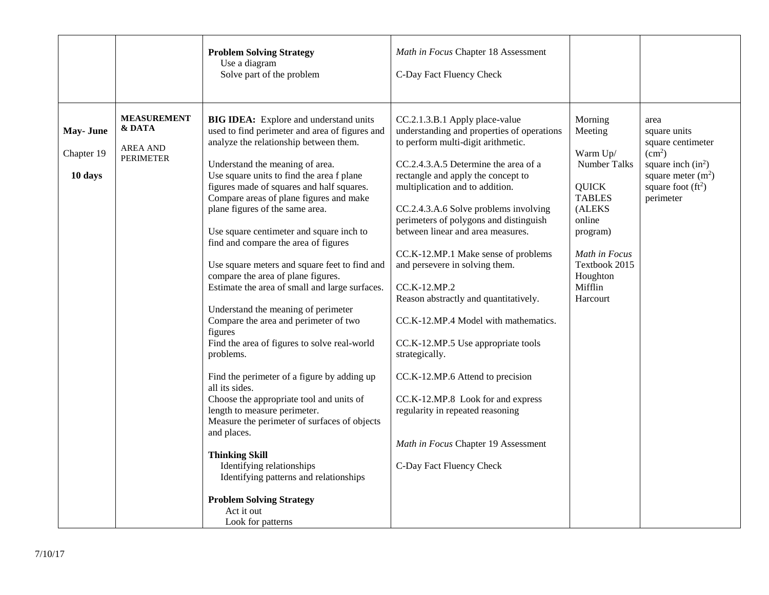|                                   |                                                                     | <b>Problem Solving Strategy</b><br>Use a diagram<br>Solve part of the problem                                                                                                                                                                                                                                                                                                                                                                                                                                                                                                                                                                                                                                                                                                                                                                                                                                                                                                                                                                                                                                               | Math in Focus Chapter 18 Assessment<br>C-Day Fact Fluency Check                                                                                                                                                                                                                                                                                                                                                                                                                                                                                                                                                                                                                                                                                                               |                                                                                                                                                                                             |                                                                                                                                                     |
|-----------------------------------|---------------------------------------------------------------------|-----------------------------------------------------------------------------------------------------------------------------------------------------------------------------------------------------------------------------------------------------------------------------------------------------------------------------------------------------------------------------------------------------------------------------------------------------------------------------------------------------------------------------------------------------------------------------------------------------------------------------------------------------------------------------------------------------------------------------------------------------------------------------------------------------------------------------------------------------------------------------------------------------------------------------------------------------------------------------------------------------------------------------------------------------------------------------------------------------------------------------|-------------------------------------------------------------------------------------------------------------------------------------------------------------------------------------------------------------------------------------------------------------------------------------------------------------------------------------------------------------------------------------------------------------------------------------------------------------------------------------------------------------------------------------------------------------------------------------------------------------------------------------------------------------------------------------------------------------------------------------------------------------------------------|---------------------------------------------------------------------------------------------------------------------------------------------------------------------------------------------|-----------------------------------------------------------------------------------------------------------------------------------------------------|
| May-June<br>Chapter 19<br>10 days | <b>MEASUREMENT</b><br>& DATA<br><b>AREA AND</b><br><b>PERIMETER</b> | <b>BIG IDEA:</b> Explore and understand units<br>used to find perimeter and area of figures and<br>analyze the relationship between them.<br>Understand the meaning of area.<br>Use square units to find the area f plane<br>figures made of squares and half squares.<br>Compare areas of plane figures and make<br>plane figures of the same area.<br>Use square centimeter and square inch to<br>find and compare the area of figures<br>Use square meters and square feet to find and<br>compare the area of plane figures.<br>Estimate the area of small and large surfaces.<br>Understand the meaning of perimeter<br>Compare the area and perimeter of two<br>figures<br>Find the area of figures to solve real-world<br>problems.<br>Find the perimeter of a figure by adding up<br>all its sides.<br>Choose the appropriate tool and units of<br>length to measure perimeter.<br>Measure the perimeter of surfaces of objects<br>and places.<br><b>Thinking Skill</b><br>Identifying relationships<br>Identifying patterns and relationships<br><b>Problem Solving Strategy</b><br>Act it out<br>Look for patterns | CC.2.1.3.B.1 Apply place-value<br>understanding and properties of operations<br>to perform multi-digit arithmetic.<br>CC.2.4.3.A.5 Determine the area of a<br>rectangle and apply the concept to<br>multiplication and to addition.<br>CC.2.4.3.A.6 Solve problems involving<br>perimeters of polygons and distinguish<br>between linear and area measures.<br>CC.K-12.MP.1 Make sense of problems<br>and persevere in solving them.<br>CC.K-12.MP.2<br>Reason abstractly and quantitatively.<br>CC.K-12.MP.4 Model with mathematics.<br>CC.K-12.MP.5 Use appropriate tools<br>strategically.<br>CC.K-12.MP.6 Attend to precision<br>CC.K-12.MP.8 Look for and express<br>regularity in repeated reasoning<br>Math in Focus Chapter 19 Assessment<br>C-Day Fact Fluency Check | Morning<br>Meeting<br>Warm Up/<br><b>Number Talks</b><br><b>QUICK</b><br><b>TABLES</b><br>(ALEKS<br>online<br>program)<br>Math in Focus<br>Textbook 2015<br>Houghton<br>Mifflin<br>Harcourt | area<br>square units<br>square centimeter<br>(cm <sup>2</sup> )<br>square inch $(in^2)$<br>square meter $(m2)$<br>square foot $(ft^2)$<br>perimeter |